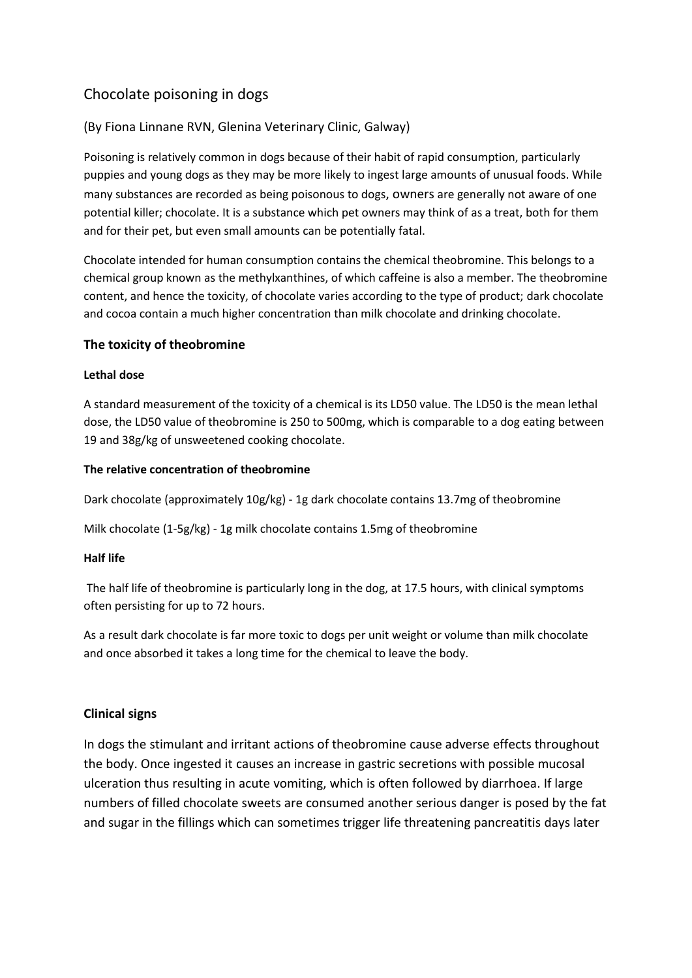# Chocolate poisoning in dogs

## (By Fiona Linnane RVN, Glenina Veterinary Clinic, Galway)

Poisoning is relatively common in dogs because of their habit of rapid consumption, particularly puppies and young dogs as they may be more likely to ingest large amounts of unusual foods. While many substances are recorded as being poisonous to dogs, owners are generally not aware of one potential killer; chocolate. It is a substance which pet owners may think of as a treat, both for them and for their pet, but even small amounts can be potentially fatal.

Chocolate intended for human consumption contains the chemical theobromine. This belongs to a chemical group known as the methylxanthines, of which caffeine is also a member. The theobromine content, and hence the toxicity, of chocolate varies according to the type of product; dark chocolate and cocoa contain a much higher concentration than milk chocolate and drinking chocolate.

### **The toxicity of theobromine**

#### **Lethal dose**

A standard measurement of the toxicity of a chemical is its LD50 value. The LD50 is the mean lethal dose, the LD50 value of theobromine is 250 to 500mg, which is comparable to a dog eating between 19 and 38g/kg of unsweetened cooking chocolate.

#### **The relative concentration of theobromine**

Dark chocolate (approximately 10g/kg) - 1g dark chocolate contains 13.7mg of theobromine

Milk chocolate (1-5g/kg) - 1g milk chocolate contains 1.5mg of theobromine

#### **Half life**

The half life of theobromine is particularly long in the dog, at 17.5 hours, with clinical symptoms often persisting for up to 72 hours.

As a result dark chocolate is far more toxic to dogs per unit weight or volume than milk chocolate and once absorbed it takes a long time for the chemical to leave the body.

## **Clinical signs**

In dogs the stimulant and irritant actions of theobromine cause adverse effects throughout the body. Once ingested it causes an increase in gastric secretions with possible mucosal ulceration thus resulting in acute vomiting, which is often followed by diarrhoea. If large numbers of filled chocolate sweets are consumed another serious danger is posed by the fat and sugar in the fillings which can sometimes trigger life threatening pancreatitis days later